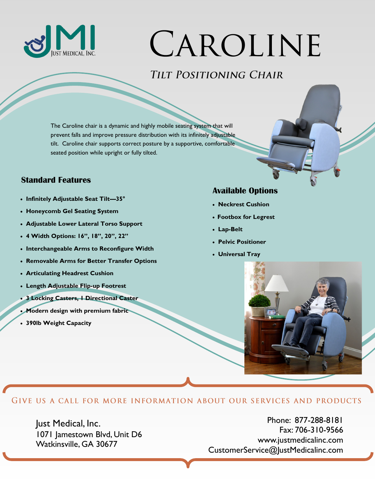

# CAROLINE

## TILT POSITIONING CHAIR

The Caroline chair is a dynamic and highly mobile seating system that will prevent falls and improve pressure distribution with its infinitely adjustable tilt. Caroline chair supports correct posture by a supportive, comfortable seated position while upright or fully tilted.

### **Standard Features**

- **Infinitely Adjustable Seat Tilt—35°**
- **Honeycomb Gel Seating System**
- **Adjustable Lower Lateral Torso Support**
- **4 Width Options: 16", 18", 20", 22"**
- **Interchangeable Arms to Reconfigure Width**
- **Removable Arms for Better Transfer Options**
- **Articulating Headrest Cushion**
- **Length Adjustable Flip-up Footrest**
- **3 Locking Casters, 1 Directional Caster**
- **Modern design with premium fabric**
- **390lb Weight Capacity**

### **Available Options**

- **Neckrest Cushion**
- **Footbox for Legrest**
- **Lap-Belt**
- **Pelvic Positioner**
- **Universal Tray**



#### GIVE US A CALL FOR MORE INFORMATION ABOUT OUR SERVICES AND PRODUCTS

Just Medical, Inc. 1071 Jamestown Blvd, Unit D6 Watkinsville, GA 30677

Phone: 877-288-8181 Fax: 706-310-9566 www.justmedicalinc.com CustomerService@JustMedicalinc.com